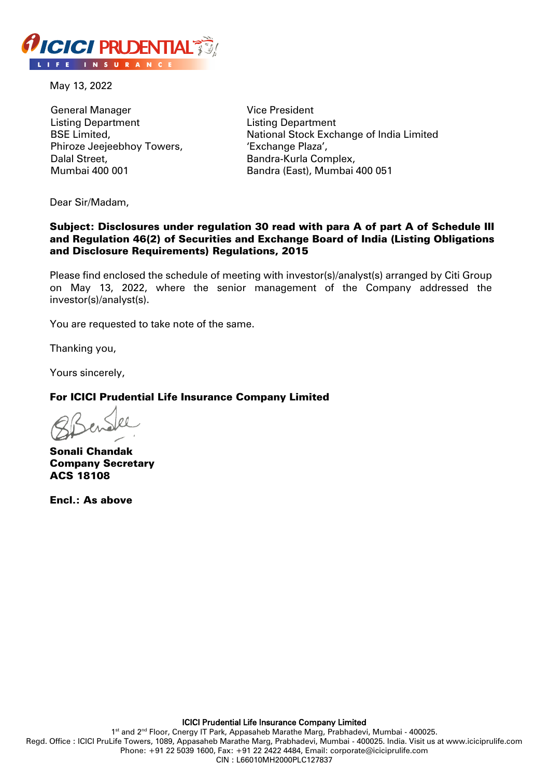

May 13, 2022

General Manager Listing Department BSE Limited, Phiroze Jeejeebhoy Towers, Dalal Street, Mumbai 400 001

Vice President Listing Department National Stock Exchange of India Limited 'Exchange Plaza', Bandra-Kurla Complex, Bandra (East), Mumbai 400 051

Dear Sir/Madam,

## Subject: Disclosures under regulation 30 read with para A of part A of Schedule III and Regulation 46(2) of Securities and Exchange Board of India (Listing Obligations and Disclosure Requirements) Regulations, 2015

Please find enclosed the schedule of meeting with investor(s)/analyst(s) arranged by Citi Group on May 13, 2022, where the senior management of the Company addressed the investor(s)/analyst(s).

You are requested to take note of the same.

Thanking you,

Yours sincerely,

## For ICICI Prudential Life Insurance Company Limited

Sonali Chandak Company Secretary ACS 18108

Encl.: As above